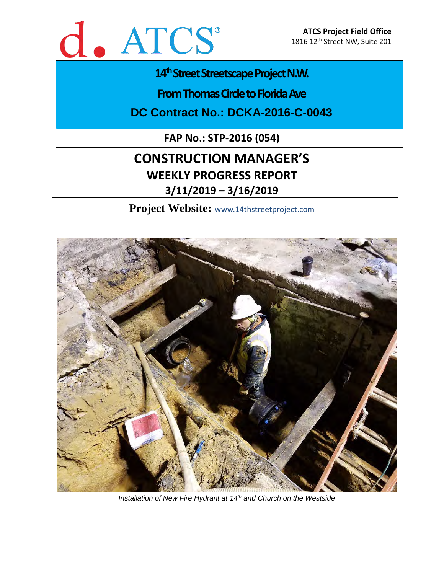

### 14<sup>th</sup> Street Streetscape Project N.W.

**From Thomas Circle to Florida Ave** 

**DC Contract No.: DCKA-2016-C-0043**

**FAP No.: STP-2016 (054)**

### **CONSTRUCTION MANAGER'S WEEKLY PROGRESS REPORT 3/11/2019 – 3/16/2019**

**Project Website:** www.14thstreetproject.com



*Installation of New Fire Hydrant at 14th and Church on the Westside*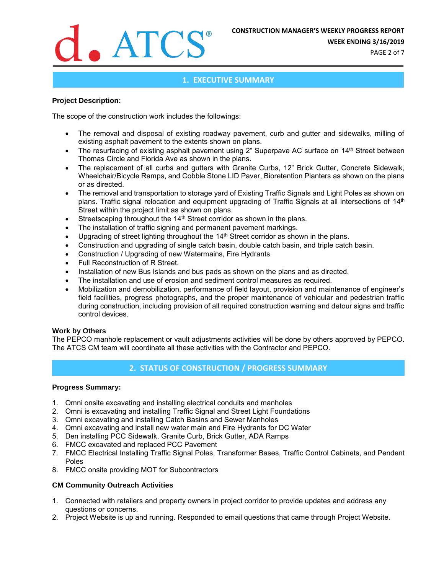

**WEEK ENDING 3/16/2019**

PAGE 2 of 7

#### **1. EXECUTIVE SUMMARY**

#### **Project Description:**

The scope of the construction work includes the followings:

- The removal and disposal of existing roadway pavement, curb and gutter and sidewalks, milling of existing asphalt pavement to the extents shown on plans.
- The resurfacing of existing asphalt pavement using 2" Superpave AC surface on 14<sup>th</sup> Street between Thomas Circle and Florida Ave as shown in the plans.
- The replacement of all curbs and gutters with Granite Curbs, 12" Brick Gutter, Concrete Sidewalk, Wheelchair/Bicycle Ramps, and Cobble Stone LID Paver, Bioretention Planters as shown on the plans or as directed.
- The removal and transportation to storage yard of Existing Traffic Signals and Light Poles as shown on plans. Traffic signal relocation and equipment upgrading of Traffic Signals at all intersections of 14<sup>th</sup> Street within the project limit as shown on plans.
- Streetscaping throughout the 14<sup>th</sup> Street corridor as shown in the plans.
- The installation of traffic signing and permanent pavement markings.
- Upgrading of street lighting throughout the 14<sup>th</sup> Street corridor as shown in the plans.
- Construction and upgrading of single catch basin, double catch basin, and triple catch basin.
- Construction / Upgrading of new Watermains, Fire Hydrants
- Full Reconstruction of R Street.
- Installation of new Bus Islands and bus pads as shown on the plans and as directed.
- The installation and use of erosion and sediment control measures as required.
- Mobilization and demobilization, performance of field layout, provision and maintenance of engineer's field facilities, progress photographs, and the proper maintenance of vehicular and pedestrian traffic during construction, including provision of all required construction warning and detour signs and traffic control devices.

#### **Work by Others**

The PEPCO manhole replacement or vault adjustments activities will be done by others approved by PEPCO. The ATCS CM team will coordinate all these activities with the Contractor and PEPCO.

#### **2. STATUS OF CONSTRUCTION / PROGRESS SUMMARY**

#### **Progress Summary:**

- 1. Omni onsite excavating and installing electrical conduits and manholes
- 2. Omni is excavating and installing Traffic Signal and Street Light Foundations
- 3. Omni excavating and installing Catch Basins and Sewer Manholes
- 4. Omni excavating and install new water main and Fire Hydrants for DC Water
- 5. Den installing PCC Sidewalk, Granite Curb, Brick Gutter, ADA Ramps
- 6. FMCC excavated and replaced PCC Pavement
- 7. FMCC Electrical Installing Traffic Signal Poles, Transformer Bases, Traffic Control Cabinets, and Pendent Poles
- 8. FMCC onsite providing MOT for Subcontractors

#### **CM Community Outreach Activities**

- 1. Connected with retailers and property owners in project corridor to provide updates and address any questions or concerns.
- 2. Project Website is up and running. Responded to email questions that came through Project Website.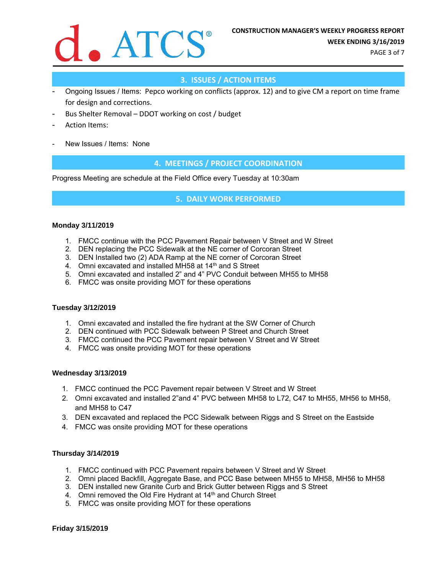

PAGE 3 of 7

#### **3. ISSUES / ACTION ITEMS**

- Ongoing Issues / Items: Pepco working on conflicts (approx. 12) and to give CM a report on time frame for design and corrections.
- Bus Shelter Removal DDOT working on cost / budget
- Action Items:
- New Issues / Items: None

#### **4. MEETINGS / PROJECT COORDINATION**

Progress Meeting are schedule at the Field Office every Tuesday at 10:30am

#### **5. DAILY WORK PERFORMED**

#### **Monday 3/11/2019**

- 1. FMCC continue with the PCC Pavement Repair between V Street and W Street
- 2. DEN replacing the PCC Sidewalk at the NE corner of Corcoran Street
- 3. DEN Installed two (2) ADA Ramp at the NE corner of Corcoran Street
- 4. Omni excavated and installed MH58 at 14<sup>th</sup> and S Street
- 5. Omni excavated and installed 2" and 4" PVC Conduit between MH55 to MH58
- 6. FMCC was onsite providing MOT for these operations

#### **Tuesday 3/12/2019**

- 1. Omni excavated and installed the fire hydrant at the SW Corner of Church
- 2. DEN continued with PCC Sidewalk between P Street and Church Street
- 3. FMCC continued the PCC Pavement repair between V Street and W Street
- 4. FMCC was onsite providing MOT for these operations

#### **Wednesday 3/13/2019**

- 1. FMCC continued the PCC Pavement repair between V Street and W Street
- 2. Omni excavated and installed 2"and 4" PVC between MH58 to L72, C47 to MH55, MH56 to MH58, and MH58 to C47
- 3. DEN excavated and replaced the PCC Sidewalk between Riggs and S Street on the Eastside
- 4. FMCC was onsite providing MOT for these operations

#### **Thursday 3/14/2019**

- 1. FMCC continued with PCC Pavement repairs between V Street and W Street
- 2. Omni placed Backfill, Aggregate Base, and PCC Base between MH55 to MH58, MH56 to MH58
- 3. DEN installed new Granite Curb and Brick Gutter between Riggs and S Street
- 4. Omni removed the Old Fire Hydrant at 14<sup>th</sup> and Church Street
- 5. FMCC was onsite providing MOT for these operations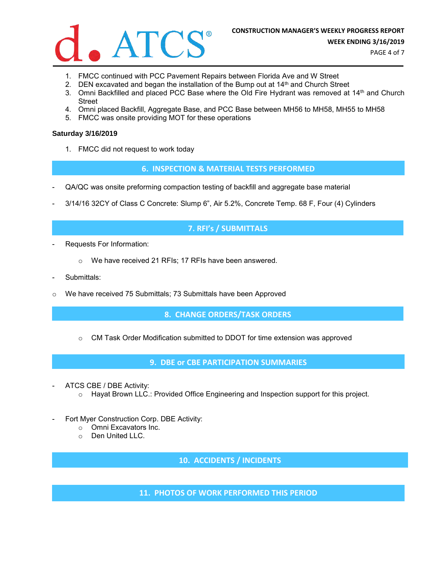

PAGE 4 of 7

- 1. FMCC continued with PCC Pavement Repairs between Florida Ave and W Street
- 2. DEN excavated and began the installation of the Bump out at  $14<sup>th</sup>$  and Church Street
- 3. Omni Backfilled and placed PCC Base where the Old Fire Hydrant was removed at 14th and Church **Street**
- 4. Omni placed Backfill, Aggregate Base, and PCC Base between MH56 to MH58, MH55 to MH58
- 5. FMCC was onsite providing MOT for these operations

#### **Saturday 3/16/2019**

1. FMCC did not request to work today

#### **6. INSPECTION & MATERIAL TESTS PERFORMED**

- QA/QC was onsite preforming compaction testing of backfill and aggregate base material
- 3/14/16 32CY of Class C Concrete: Slump 6", Air 5.2%, Concrete Temp. 68 F, Four (4) Cylinders

#### **7. RFI's / SUBMITTALS**

- Requests For Information:
	- o We have received 21 RFIs; 17 RFIs have been answered.
- Submittals:
- o We have received 75 Submittals; 73 Submittals have been Approved

#### **8. CHANGE ORDERS/TASK ORDERS**

 $\circ$  CM Task Order Modification submitted to DDOT for time extension was approved

**9. DBE or CBE PARTICIPATION SUMMARIES**

- ATCS CBE / DBE Activity:
	- o Hayat Brown LLC.: Provided Office Engineering and Inspection support for this project.
- Fort Myer Construction Corp. DBE Activity:
	- o Omni Excavators Inc.
		- o Den United LLC.

**10. ACCIDENTS / INCIDENTS**

**11. PHOTOS OF WORK PERFORMED THIS PERIOD**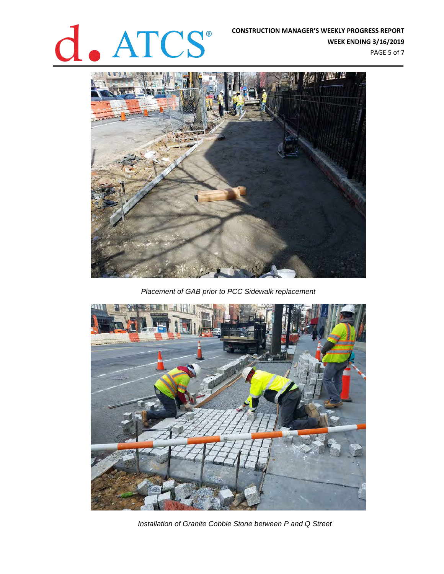## **CONSTRUCTION MANAGER'S WEEKLY PROGRESS REPORT**<br>WEEK ENDING 3/16/2019

**WEEK ENDING 3/16/2019**

PAGE 5 of 7



*Placement of GAB prior to PCC Sidewalk replacement*



*Installation of Granite Cobble Stone between P and Q Street*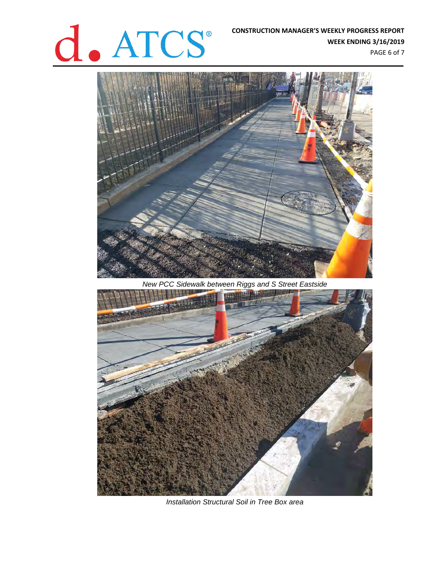# **CONSTRUCTION MANAGER'S WEEKLY PROGRESS REPORT WEEK ENDING 3/16/2019**<br>PAGE 6 of 7

**WEEK ENDING 3/16/2019** PAGE 6 of 7



*New PCC Sidewalk between Riggs and S Street Eastside*



*Installation Structural Soil in Tree Box area*